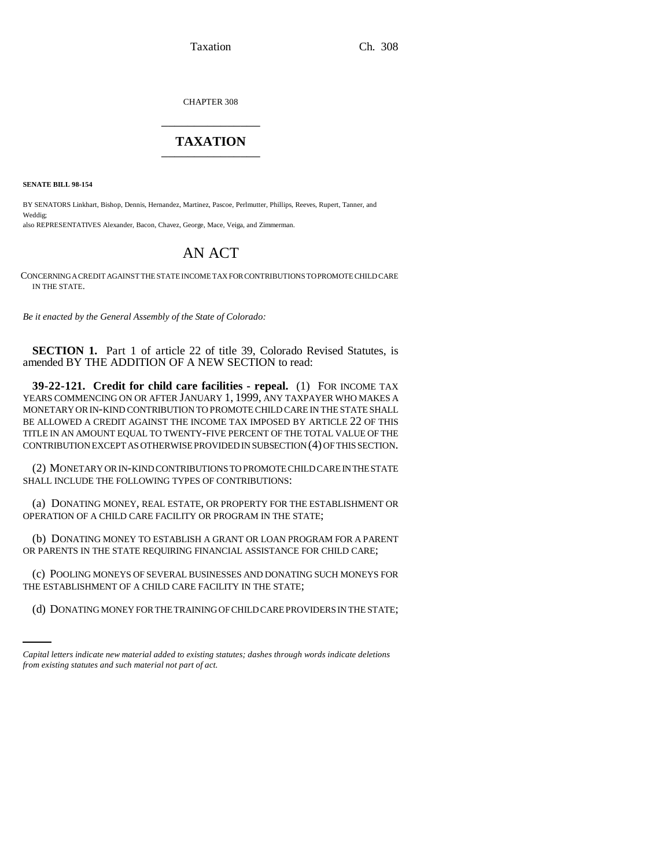Taxation Ch. 308

CHAPTER 308 \_\_\_\_\_\_\_\_\_\_\_\_\_\_\_

## **TAXATION** \_\_\_\_\_\_\_\_\_\_\_\_\_\_\_

**SENATE BILL 98-154**

BY SENATORS Linkhart, Bishop, Dennis, Hernandez, Martinez, Pascoe, Perlmutter, Phillips, Reeves, Rupert, Tanner, and Weddig; also REPRESENTATIVES Alexander, Bacon, Chavez, George, Mace, Veiga, and Zimmerman.

## AN ACT

CONCERNING A CREDIT AGAINST THE STATE INCOME TAX FOR CONTRIBUTIONS TO PROMOTE CHILD CARE IN THE STATE.

*Be it enacted by the General Assembly of the State of Colorado:*

**SECTION 1.** Part 1 of article 22 of title 39, Colorado Revised Statutes, is amended BY THE ADDITION OF A NEW SECTION to read:

**39-22-121. Credit for child care facilities - repeal.** (1) FOR INCOME TAX YEARS COMMENCING ON OR AFTER JANUARY 1, 1999, ANY TAXPAYER WHO MAKES A MONETARY OR IN-KIND CONTRIBUTION TO PROMOTE CHILD CARE IN THE STATE SHALL BE ALLOWED A CREDIT AGAINST THE INCOME TAX IMPOSED BY ARTICLE 22 OF THIS TITLE IN AN AMOUNT EQUAL TO TWENTY-FIVE PERCENT OF THE TOTAL VALUE OF THE CONTRIBUTION EXCEPT AS OTHERWISE PROVIDED IN SUBSECTION (4) OF THIS SECTION.

(2) MONETARY OR IN-KIND CONTRIBUTIONS TO PROMOTE CHILD CARE IN THE STATE SHALL INCLUDE THE FOLLOWING TYPES OF CONTRIBUTIONS:

(a) DONATING MONEY, REAL ESTATE, OR PROPERTY FOR THE ESTABLISHMENT OR OPERATION OF A CHILD CARE FACILITY OR PROGRAM IN THE STATE;

(b) DONATING MONEY TO ESTABLISH A GRANT OR LOAN PROGRAM FOR A PARENT OR PARENTS IN THE STATE REQUIRING FINANCIAL ASSISTANCE FOR CHILD CARE;

THE ESTABLISHMENT OF A CHILD CARE FACILITY IN THE STATE; (c) POOLING MONEYS OF SEVERAL BUSINESSES AND DONATING SUCH MONEYS FOR

(d) DONATING MONEY FOR THE TRAINING OF CHILD CARE PROVIDERS IN THE STATE;

*Capital letters indicate new material added to existing statutes; dashes through words indicate deletions from existing statutes and such material not part of act.*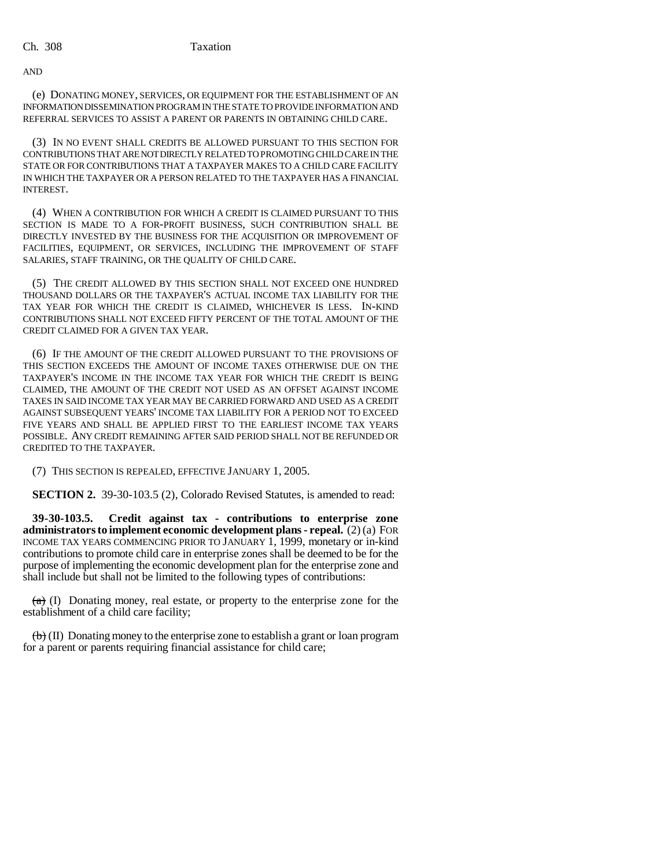AND

(e) DONATING MONEY, SERVICES, OR EQUIPMENT FOR THE ESTABLISHMENT OF AN INFORMATION DISSEMINATION PROGRAM IN THE STATE TO PROVIDE INFORMATION AND REFERRAL SERVICES TO ASSIST A PARENT OR PARENTS IN OBTAINING CHILD CARE.

(3) IN NO EVENT SHALL CREDITS BE ALLOWED PURSUANT TO THIS SECTION FOR CONTRIBUTIONS THAT ARE NOT DIRECTLY RELATED TO PROMOTING CHILD CARE IN THE STATE OR FOR CONTRIBUTIONS THAT A TAXPAYER MAKES TO A CHILD CARE FACILITY IN WHICH THE TAXPAYER OR A PERSON RELATED TO THE TAXPAYER HAS A FINANCIAL INTEREST.

(4) WHEN A CONTRIBUTION FOR WHICH A CREDIT IS CLAIMED PURSUANT TO THIS SECTION IS MADE TO A FOR-PROFIT BUSINESS, SUCH CONTRIBUTION SHALL BE DIRECTLY INVESTED BY THE BUSINESS FOR THE ACQUISITION OR IMPROVEMENT OF FACILITIES, EQUIPMENT, OR SERVICES, INCLUDING THE IMPROVEMENT OF STAFF SALARIES, STAFF TRAINING, OR THE QUALITY OF CHILD CARE.

(5) THE CREDIT ALLOWED BY THIS SECTION SHALL NOT EXCEED ONE HUNDRED THOUSAND DOLLARS OR THE TAXPAYER'S ACTUAL INCOME TAX LIABILITY FOR THE TAX YEAR FOR WHICH THE CREDIT IS CLAIMED, WHICHEVER IS LESS. IN-KIND CONTRIBUTIONS SHALL NOT EXCEED FIFTY PERCENT OF THE TOTAL AMOUNT OF THE CREDIT CLAIMED FOR A GIVEN TAX YEAR.

(6) IF THE AMOUNT OF THE CREDIT ALLOWED PURSUANT TO THE PROVISIONS OF THIS SECTION EXCEEDS THE AMOUNT OF INCOME TAXES OTHERWISE DUE ON THE TAXPAYER'S INCOME IN THE INCOME TAX YEAR FOR WHICH THE CREDIT IS BEING CLAIMED, THE AMOUNT OF THE CREDIT NOT USED AS AN OFFSET AGAINST INCOME TAXES IN SAID INCOME TAX YEAR MAY BE CARRIED FORWARD AND USED AS A CREDIT AGAINST SUBSEQUENT YEARS' INCOME TAX LIABILITY FOR A PERIOD NOT TO EXCEED FIVE YEARS AND SHALL BE APPLIED FIRST TO THE EARLIEST INCOME TAX YEARS POSSIBLE. ANY CREDIT REMAINING AFTER SAID PERIOD SHALL NOT BE REFUNDED OR CREDITED TO THE TAXPAYER.

(7) THIS SECTION IS REPEALED, EFFECTIVE JANUARY 1, 2005.

**SECTION 2.** 39-30-103.5 (2), Colorado Revised Statutes, is amended to read:

**39-30-103.5. Credit against tax - contributions to enterprise zone administrators to implement economic development plans - repeal.** (2) (a) FOR INCOME TAX YEARS COMMENCING PRIOR TO JANUARY 1, 1999, monetary or in-kind contributions to promote child care in enterprise zones shall be deemed to be for the purpose of implementing the economic development plan for the enterprise zone and shall include but shall not be limited to the following types of contributions:

 $(a)$  (I) Donating money, real estate, or property to the enterprise zone for the establishment of a child care facility;

 $\left(\mathbf{b}\right)$  (II) Donating money to the enterprise zone to establish a grant or loan program for a parent or parents requiring financial assistance for child care;